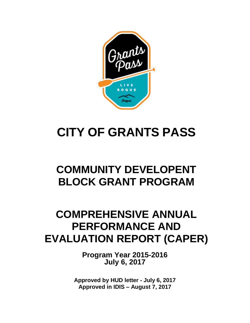

# **CITY OF GRANTS PASS**

# **COMMUNITY DEVELOPENT BLOCK GRANT PROGRAM**

# **COMPREHENSIVE ANNUAL PERFORMANCE AND EVALUATION REPORT (CAPER)**

**Program Year 2015-2016 July 6, 2017**

<span id="page-0-0"></span>**Approved by HUD letter - July 6, 2017 Approved in IDIS – August 7, 2017**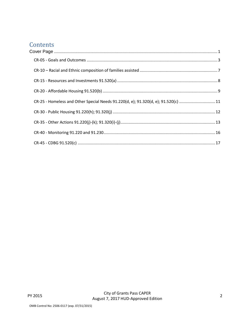# Contents

| CR-25 - Homeless and Other Special Needs 91.220(d, e); 91.320(d, e); 91.520(c) 11 |  |
|-----------------------------------------------------------------------------------|--|
|                                                                                   |  |
|                                                                                   |  |
|                                                                                   |  |
|                                                                                   |  |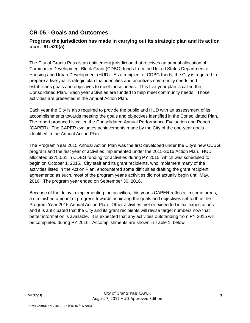## <span id="page-2-0"></span>**CR-05 - Goals and Outcomes**

#### **Progress the jurisdiction has made in carrying out its strategic plan and its action plan. 91.520(a)**

The City of Grants Pass is an entitlement jurisdiction that receives an annual allocation of Community Development Block Grant (CDBG) funds from the United States Department of Housing and Urban Development (HUD). As a recipient of CDBG funds, the City is required to prepare a five-year strategic plan that identifies and prioritizes community needs and establishes goals and objectives to meet those needs. This five-year plan is called the Consolidated Plan. Each year activities are funded to help meet community needs. Those activities are presented in the Annual Action Plan.

Each year the City is also required to provide the public and HUD with an assessment of its accomplishments towards meeting the goals and objectives identified in the Consolidated Plan. The report produced is called the Consolidated Annual Performance Evaluation and Report (CAPER). The CAPER evaluates achievements made by the City of the one-year goals identified in the Annual Action Plan.

The Program Year 2015 Annual Action Plan was the first developed under the City's new CDBG program and the first year of activities implemented under the 2015-2016 Action Plan. HUD allocated \$275,061 in CDBG funding for activities during PY 2015, which was scheduled to begin on October 1, 2015. City staff and its grant recipients, who implement many of the activities listed in the Action Plan, encountered some difficulties drafting the grant recipient agreements; as such, most of the program year's activities did not actually begin until May, 2016. The program year ended on September 30, 2016.

Because of the delay in implementing the activities, this year's CAPER reflects, in some areas, a diminished amount of progress towards achieving the goals and objectives set forth in the Program Year 2015 Annual Action Plan. Other activities met or exceeded initial expectations and it is anticipated that the City and its grant recipients will revise target numbers now that better information is available. It is expected that any activities outstanding from PY 2015 will be completed during PY 2016. Accomplishments are shown in Table 1, below.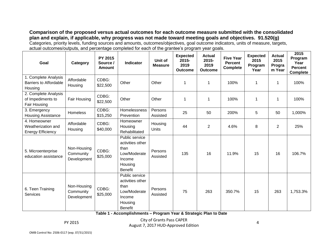**Comparison of the proposed versus actual outcomes for each outcome measure submitted with the consolidated plan and explain, if applicable, why progress was not made toward meeting goals and objectives. 91.520(g)** Categories, priority levels, funding sources and amounts, outcomes/objectives, goal outcome indicators, units of measure, targets, actual outcomes/outputs, and percentage completed for each of the grantee's program year goals.

| Goal                                                             | Category                                | PY 2015<br>Source /<br><b>Amount</b> | <b>Indicator</b>                                                                                  | Unit of<br><b>Measure</b> | <b>Expected</b><br>2015-<br>2019<br><b>Outcome</b> | <b>Actual</b><br>2015-<br>2019<br><b>Outcome</b> | <b>Five Year</b><br><b>Percent</b><br><b>Complete</b> | <b>Expected</b><br>2015<br>Program<br>Year | <b>Actual</b><br>2015<br>Progra<br>m Year | 2015<br>Program<br>Year<br><b>Percent</b><br><b>Complete</b> |
|------------------------------------------------------------------|-----------------------------------------|--------------------------------------|---------------------------------------------------------------------------------------------------|---------------------------|----------------------------------------------------|--------------------------------------------------|-------------------------------------------------------|--------------------------------------------|-------------------------------------------|--------------------------------------------------------------|
| 1. Complete Analysis<br><b>Barriers to Affordable</b><br>Housing | Affordable<br>Housing                   | CDBG:<br>\$22,500                    | Other                                                                                             | Other                     | 1                                                  | $\mathbf 1$                                      | 100%                                                  | $\mathbf 1$                                | $\mathbf 1$                               | 100%                                                         |
| 2. Complete Analysis<br>of Impediments to<br>Fair Housing        | Fair Housing                            | CDBG:<br>\$22,500                    | Other                                                                                             | Other                     | 1                                                  | $\mathbf 1$                                      | 100%                                                  | $\mathbf 1$                                | 1                                         | 100%                                                         |
| 3. Emergency<br><b>Housing Assistance</b>                        | <b>Homeless</b>                         | CDBG:<br>\$15,250                    | Homelessness<br>Prevention                                                                        | Persons<br>Assisted       | 25                                                 | 50                                               | 200%                                                  | 5                                          | 50                                        | 1,000%                                                       |
| 4. Homeowner<br>Weatherization and<br><b>Energy Efficiency</b>   | Affordable<br>Housing                   | CDBG:<br>\$40,000                    | Homeowner<br>Housing<br>Rehabilitated                                                             | Housing<br><b>Units</b>   | 44                                                 | $\overline{2}$                                   | 4.6%                                                  | 8                                          | $\overline{2}$                            | 25%                                                          |
| 5. Microenterprise<br>education assistance                       | Non-Housing<br>Community<br>Development | CDBG:<br>\$25,000                    | Public service<br>activities other<br>than<br>Low/Moderate<br>Income<br>Housing<br><b>Benefit</b> | Persons<br>Assisted       | 135                                                | 16                                               | 11.9%                                                 | 15                                         | 16                                        | 106.7%                                                       |
| 6. Teen Training<br><b>Services</b>                              | Non-Housing<br>Community<br>Development | CDBG:<br>\$25,000                    | Public service<br>activities other<br>than<br>Low/Moderate<br>Income<br>Housing<br><b>Benefit</b> | Persons<br>Assisted       | 75                                                 | 263                                              | 350.7%                                                | 15                                         | 263                                       | 1,753.3%                                                     |

**Table 1 - Accomplishments – Program Year & Strategic Plan to Date**

PY 2015 City of Grants Pass CAPER August 7, 2017 HUD-Approved Edition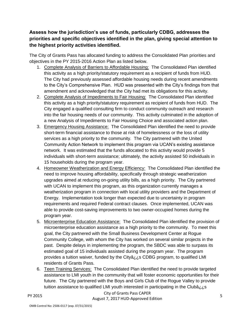## **Assess how the jurisdiction's use of funds, particularly CDBG, addresses the priorities and specific objectives identified in the plan, giving special attention to the highest priority activities identified.**

The City of Grants Pass has allocated funding to address the Consolidated Plan priorities and objectives in the PY 2015-2016 Action Plan as listed below.

- 1. Complete Analysis of Barriers to Affordable Housing: The Consolidated Plan identified this activity as a high priority/statutory requirement as a recipient of funds from HUD. The City had previously assessed affordable housing needs during recent amendments to the City's Comprehensive Plan. HUD was presented with the City's findings from that amendment and acknowledged that the City had met its obligations for this activity.
- 2. Complete Analysis of Impediments to Fair Housing: The Consolidated Plan identified this activity as a high priority/statutory requirement as recipient of funds from HUD. The City engaged a qualified consulting firm to conduct community outreach and research into the fair housing needs of our community. This activity culminated in the adoption of a new Analysis of Impediments to Fair Housing Choice and associated action plan.
- 3. Emergency Housing Assistance: The Consolidated Plan identified the need to provide short-term financial assistance to those at risk of homelessness or the loss of utility services as a high priority to the community. The City partnered with the United Community Action Network to implement this program via UCAN's existing assistance network. It was estimated that the funds allocated to this activity would provide 5 individuals with short-term assistance; ultimately, the activity assisted 50 individuals in 15 households during the program year.
- 4. Homeowner Weatherization and Energy Efficiency: The Consolidated Plan identified the need to improve housing affordability, specifically through strategic weatherization upgrades aimed at reducing on-going utility bills, as a high priority. The City partnered with UCAN to implement this program, as this organization currently manages a weatherization program in connection with local utility providers and the Department of Energy. Implementation took longer than expected due to uncertainty in program requirements and required Federal contract clauses. Once implemented, UCAN was able to provide cost-saving improvements to two owner-occupied homes during the program year.
- 5. Microenterprise Education Assistance: The Consolidated Plan identified the provision of microenterprise education assistance as a high priority to the community. To meet this goal, the City partnered with the Small Business Development Center at Rogue Community College, with whom the City has worked on several similar projects in the past. Despite delays in implementing the program, the SBDC was able to surpass its estimated goal of 15 individuals assisted during the program year. The program provides a tuition waiver, funded by the Cityâ¿¿s CDBG program, to qualified LMI residents of Grants Pass.
- 6. Teen Training Services: The Consolidated Plan identified the need to provide targeted assistance to LMI youth in the community that will foster economic opportunities for their future. The City partnered with the Boys and Girls Club of the Rogue Valley to provide tuition assistance to qualified LMI youth interested in participating in the Clubâ¿¿s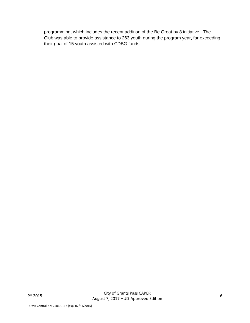programming, which includes the recent addition of the Be Great by 8 initiative. The Club was able to provide assistance to 263 youth during the program year, far exceeding their goal of 15 youth assisted with CDBG funds.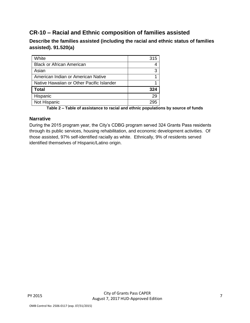## <span id="page-6-0"></span>**CR-10 – Racial and Ethnic composition of families assisted**

**Describe the families assisted (including the racial and ethnic status of families assisted). 91.520(a)** 

| White                                     | 315 |
|-------------------------------------------|-----|
| <b>Black or African American</b>          |     |
| Asian                                     | 3   |
| American Indian or American Native        |     |
| Native Hawaiian or Other Pacific Islander |     |
| <b>Total</b>                              | 324 |
| Hispanic                                  | 29  |
| Not Hispanic                              | 295 |
|                                           |     |

**Table 2 – Table of assistance to racial and ethnic populations by source of funds**

#### **Narrative**

During the 2015 program year, the City's CDBG program served 324 Grants Pass residents through its public services, housing rehabilitation, and economic development activities. Of those assisted, 97% self-identified racially as white. Ethnically, 9% of residents served identified themselves of Hispanic/Latino origin.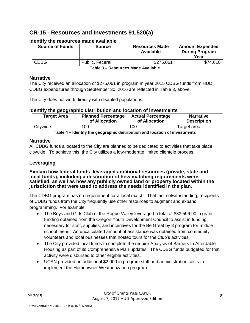## <span id="page-7-0"></span>**CR-15 - Resources and Investments 91.520(a)**

| <b>Source of Funds</b> | <b>Source</b>   | <b>Resources Made</b><br><b>Available</b> | <b>Amount Expended</b><br><b>During Program</b><br>Year |
|------------------------|-----------------|-------------------------------------------|---------------------------------------------------------|
| <b>CDBG</b>            | Public, Feceral | \$275,061                                 | \$74,610                                                |

#### **Identify the resources made available**

**Table 3 – Resources Made Available**

#### **Narrative**

The City received an allocation of \$275,061 in program m year 2015 CDBG funds from HUD. CDBG expenditures through September 30, 2016 are reflected in Table 3, above.

The City does not work directly with disabled populations.

#### **Identify the geographic distribution and location of investments**

| <b>Target Area</b> | <b>Planned Percentage</b> | <b>Actual Percentage</b> | <b>Narrative</b>   |
|--------------------|---------------------------|--------------------------|--------------------|
|                    | of Allocation             | of Allocation            | <b>Description</b> |
| Citywide           | 100                       | 100                      | Target area        |

**Table 4 – Identify the geographic distribution and location of investments**

#### **Narrative**

All CDBG funds allocated to the City are planned to be dedicated to activities that take place citywide. To achieve this, the City utilizes a low-moderate limited clientele process.

#### **Leveraging**

**Explain how federal funds leveraged additional resources (private, state and local funds), including a description of how matching requirements were satisfied, as well as how any publicly owned land or property located within the jurisdiction that were used to address the needs identified in the plan.**

The CDBG program has no requirement for a local match. That fact notwithstanding, recipients of CDBG funds from the City frequently use other resources to augment and expand programming. For example:

- The Boys and Girls Club of the Rogue Valley leveraged a total of \$33,596.90 in grant funding obtained from the Oregon Youth Development Council to assist in funding necessary for staff, supplies, and incentives for the Be Great by 8 program for middle school teens. An uncalculated amount of assistance was obtained from community volunteers and local businesses that hosted tours for the Club's activities.
- The City provided local funds to complete the require Analysis of Barriers to Affordable Housing as part of its Comprehensive Plan updates. The CDBG funds budgeted for that activity were disbursed to other eligible activities.
- UCAN provided an additional \$2,000 in program staff and administration costs to implement the Homeowner Weatherization program.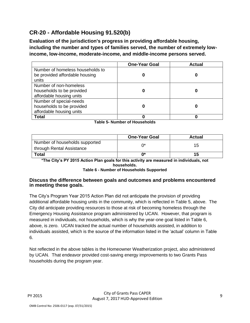# <span id="page-8-0"></span>**CR-20 - Affordable Housing 91.520(b)**

**Evaluation of the jurisdiction's progress in providing affordable housing, including the number and types of families served, the number of extremely lowincome, low-income, moderate-income, and middle-income persons served.**

|                                                                                  | <b>One-Year Goal</b> | <b>Actual</b> |
|----------------------------------------------------------------------------------|----------------------|---------------|
| Number of homeless households to<br>be provided affordable housing               |                      |               |
| units                                                                            |                      |               |
| Number of non-homeless<br>households to be provided<br>affordable housing units  |                      |               |
| Number of special-needs<br>households to be provided<br>affordable housing units |                      |               |
| <b>Total</b>                                                                     |                      |               |

**Table 5- Number of Households**

|                                                             | <b>One-Year Goal</b> | <b>Actual</b> |
|-------------------------------------------------------------|----------------------|---------------|
| Number of households supported<br>through Rental Assistance |                      |               |
| <b>Total</b>                                                | ∩*                   |               |

**\*The City's PY 2015 Action Plan goals for this activity are measured in individuals, not households.**

**Table 6 - Number of Households Supported**

#### **Discuss the difference between goals and outcomes and problems encountered in meeting these goals.**

The City's Program Year 2015 Action Plan did not anticipate the provision of providing additional affordable housing units in the community, which is reflected in Table 5, above. The City did anticipate providing resources to those at risk of becoming homeless through the Emergency Housing Assistance program administered by UCAN. However, that program is measured in individuals, not households, which is why the year-one goal listed in Table 6, above, is zero. UCAN tracked the actual number of households assisted, in addition to individuals assisted, which is the source of the information listed in the 'actual' column in Table 6.

Not reflected in the above tables is the Homeowner Weatherization project, also administered by UCAN. That endeavor provided cost-saving energy improvements to two Grants Pass households during the program year.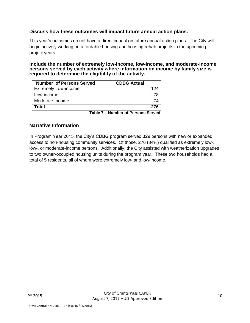#### **Discuss how these outcomes will impact future annual action plans.**

This year's outcomes do not have a direct impact on future annual action plans. The City will begin actively working on affordable housing and housing rehab projects in the upcoming project years.

#### **Include the number of extremely low-income, low-income, and moderate-income persons served by each activity where information on income by family size is required to determine the eligibility of the activity.**

| <b>Number of Persons Served</b> | <b>CDBG Actual</b> |
|---------------------------------|--------------------|
| <b>Extremely Low-income</b>     | 124                |
| Low-income                      | 78                 |
| Moderate-income                 |                    |
| Total                           | 276                |
| _ _ _ _                         |                    |

**Table 7 – Number of Persons Served**

#### **Narrative Information**

In Program Year 2015, the City's CDBG program served 329 persons with new or expanded access to non-housing community services. Of those, 276 (84%) qualified as extremely low-, low-, or moderate-income persons. Additionally, the City assisted with weatherization upgrades to two owner-occupied housing units during the program year. These two households had a total of 5 residents, all of whom were extremely low- and low-income.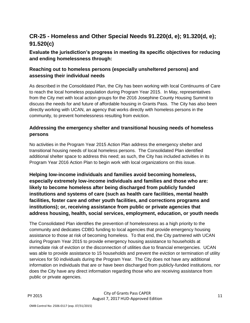# <span id="page-10-0"></span>**CR-25 - Homeless and Other Special Needs 91.220(d, e); 91.320(d, e); 91.520(c)**

## **Evaluate the jurisdiction's progress in meeting its specific objectives for reducing and ending homelessness through:**

#### **Reaching out to homeless persons (especially unsheltered persons) and assessing their individual needs**

As described in the Consolidated Plan, the City has been working with local Continuums of Care to reach the local homeless population during Program Year 2015. In May, representatives from the City met with local action groups for the 2016 Josephine County Housing Summit to discuss the needs for and future of affordable housing in Grants Pass. The City has also been directly working with UCAN, an agency that works directly with homeless persons in the community, to prevent homelessness resulting from eviction.

## **Addressing the emergency shelter and transitional housing needs of homeless persons**

No activities in the Program Year 2015 Action Plan address the emergency shelter and transitional housing needs of local homeless persons. The Consolidated Plan identified additional shelter space to address this need; as such, the City has included activities in its Program Year 2016 Action Plan to begin work with local organizations on this issue.

**Helping low-income individuals and families avoid becoming homeless, especially extremely low-income individuals and families and those who are: likely to become homeless after being discharged from publicly funded institutions and systems of care (such as health care facilities, mental health facilities, foster care and other youth facilities, and corrections programs and institutions); or, receiving assistance from public or private agencies that address housing, health, social services, employment, education, or youth needs**

The Consolidated Plan identifies the prevention of homelessness as a high priority to the community and dedicates CDBG funding to local agencies that provide emergency housing assistance to those at risk of becoming homeless. To that end, the City partnered with UCAN during Program Year 2015 to provide emergency housing assistance to households at immediate risk of eviction or the disconnection of utilities due to financial emergencies. UCAN was able to provide assistance to 15 households and prevent the eviction or termination of utility services for 50 individuals during the Program Year. The City does not have any additional information on individuals that are or have been discharged from publicly-funded institutions, nor does the City have any direct information regarding those who are receiving assistance from public or private agencies.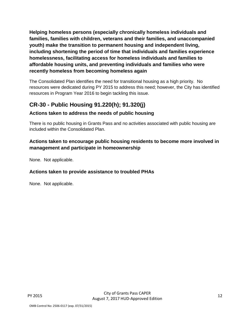**Helping homeless persons (especially chronically homeless individuals and families, families with children, veterans and their families, and unaccompanied youth) make the transition to permanent housing and independent living, including shortening the period of time that individuals and families experience homelessness, facilitating access for homeless individuals and families to affordable housing units, and preventing individuals and families who were recently homeless from becoming homeless again**

The Consolidated Plan identifies the need for transitional housing as a high priority. No resources were dedicated during PY 2015 to address this need; however, the City has identified resources in Program Year 2016 to begin tackling this issue.

# <span id="page-11-0"></span>**CR-30 - Public Housing 91.220(h); 91.320(j)**

## **Actions taken to address the needs of public housing**

There is no public housing in Grants Pass and no activities associated with public housing are included within the Consolidated Plan.

### **Actions taken to encourage public housing residents to become more involved in management and participate in homeownership**

None. Not applicable.

## **Actions taken to provide assistance to troubled PHAs**

None. Not applicable.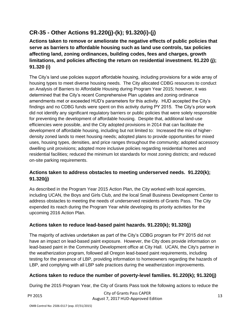# <span id="page-12-0"></span>**CR-35 - Other Actions 91.220(j)-(k); 91.320(i)-(j)**

**Actions taken to remove or ameliorate the negative effects of public policies that serve as barriers to affordable housing such as land use controls, tax policies affecting land, zoning ordinances, building codes, fees and charges, growth limitations, and policies affecting the return on residential investment. 91.220 (j); 91.320 (i)**

The City's land use policies support affordable housing, including provisions for a wide array of housing types to meet diverse housing needs. The City allocated CDBG resources to conduct an Analysis of Barriers to Affordable Housing during Program Year 2015; however, it was determined that the City's recent Comprehensive Plan updates and zoning ordinance amendments met or exceeded HUD's parameters for this activity. HUD accepted the City's findings and no CDBG funds were spent on this activity during PY 2015. The City's prior work did not identify any significant regulatory barriers or public policies that were solely responsible for preventing the development of affordable housing. Despite that, additional land-use efficiencies were possible, and the City adopted provisions in 2014 that can facilitate the development of affordable housing, including but not limited to: Increased the mix of higherdensity zoned lands to meet housing needs; adopted plans to provide opportunities for mixed uses, housing types, densities, and price ranges throughout the community; adopted accessory dwelling unit provisions; adopted more inclusive policies regarding residential homes and residential facilities; reduced the minimum lot standards for most zoning districts; and reduced on-site parking requirements.

## **Actions taken to address obstacles to meeting underserved needs. 91.220(k); 91.320(j)**

As described in the Program Year 2015 Action Plan, the City worked with local agencies, including UCAN, the Boys and Girls Club, and the local Small Business Development Center to address obstacles to meeting the needs of underserved residents of Grants Pass. The City expended its reach during the Program Year while developing its priority activities for the upcoming 2016 Action Plan.

## **Actions taken to reduce lead-based paint hazards. 91.220(k); 91.320(j)**

The majority of activies undertaken as part of the City's CDBG program for PY 2015 did not have an impact on lead-based paint exposure. However, the City does provide information on lead-based paint in the Community Development office at City Hall. UCAN, the City's partner in the weatherization program, followed all Oregon lead-based paint requirements, including testing for the presence of LBP, providing information to homeowners regarding the hazards of LBP, and complying with all LBP safe practices during the weatherization improvements.

## **Actions taken to reduce the number of poverty-level families. 91.220(k); 91.320(j)**

During the 2015 Program Year, the City of Grants Pass took the following actions to reduce the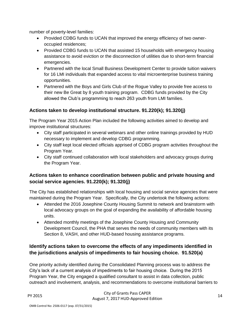number of poverty-level families:

- Provided CDBG funds to UCAN that improved the energy efficiency of two owneroccupied residences;
- Provided CDBG funds to UCAN that assisted 15 households with emergency housing assistance to avoid eviction or the disconnection of utilities due to short-term financial emergencies.
- Partnered with the local Small Business Development Center to provide tuition waivers for 16 LMI individuals that expanded access to vital microenterprise business training opportunities.
- Partnered with the Boys and Girls Club of the Roque Valley to provide free access to their new Be Great by 8 youth training program. CDBG funds provided by the City allowed the Club's programming to reach 263 youth from LMI families.

#### **Actions taken to develop institutional structure. 91.220(k); 91.320(j)**

The Program Year 2015 Action Plan included the following activities aimed to develop and improve institutional structures:

- City staff participated in several webinars and other online trainings provided by HUD necessary to implement and develop CDBG programming.
- City staff kept local elected officials apprised of CDBG program activities throughout the Program Year.
- City staff continued collaboration with local stakeholders and advocacy groups during the Program Year.

#### **Actions taken to enhance coordination between public and private housing and social service agencies. 91.220(k); 91.320(j)**

The City has established relationships with local housing and social service agencies that were maintained during the Program Year. Specifically, the City undertook the following actions:

- Attended the 2016 Josephine County Housing Summit to network and brainstorm with local advocacy groups on the goal of expanding the availability of affordable housing units.
- Attended monthly meetings of the Josephine County Housing and Community Development Council, the PHA that serves the needs of community members with its Section 8, VASH, and other HUD-based housing assistance programs.

#### **Identify actions taken to overcome the effects of any impediments identified in the jurisdictions analysis of impediments to fair housing choice. 91.520(a)**

One priority activity identified during the Consolidated Planning process was to address the City's lack of a current analysis of impediments to fair housing choice. During the 2015 Program Year, the City engaged a qualified consultant to assist in data collection, public outreach and involvement, analysis, and recommendations to overcome institutional barriers to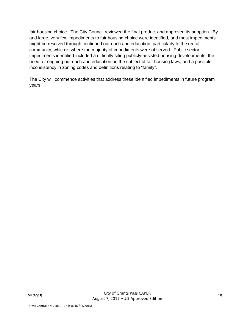fair housing choice. The City Council reviewed the final product and approved its adoption. By and large, very few impediments to fair housing choice were identified, and most impediments might be resolved through continued outreach and education, particularly to the rental community, which is where the majority of impediments were observed. Public sector impediments identified included a difficulty siting publicly-assisted housing developments, the need for ongoing outreach and education on the subject of fair housing laws, and a possible inconsistency in zoning codes and definitions relating to "family".

The City will commence activities that address these identified impediments in future program years.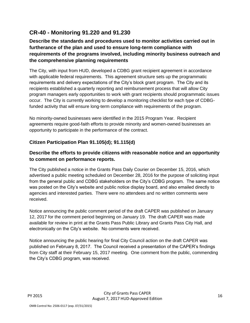# <span id="page-15-0"></span>**CR-40 - Monitoring 91.220 and 91.230**

## **Describe the standards and procedures used to monitor activities carried out in furtherance of the plan and used to ensure long-term compliance with requirements of the programs involved, including minority business outreach and the comprehensive planning requirements**

The City, with input from HUD, developed a CDBG grant recipient agreement in accordance with applicable federal requirements. This agreement structure sets up the programmatic requirements and delivery expectations of the City's block grant program. The City and its recipients established a quarterly reporting and reimbursement process that will allow City program managers early opportunities to work with grant recipients should programmatic issues occur. The City is currently working to develop a monitoring checklist for each type of CDBGfunded activity that will ensure long-term compliance with requirements of the program.

No minority-owned businesses were identified in the 2015 Program Year. Recipient agreements require good-faith efforts to provide minority and women-owned businesses an opportunity to participate in the performance of the contract.

## **Citizen Participation Plan 91.105(d); 91.115(d)**

## **Describe the efforts to provide citizens with reasonable notice and an opportunity to comment on performance reports.**

The City published a notice in the Grants Pass Daily Courier on December 15, 2016, which advertised a public meeting scheduled on December 28, 2016 for the purpose of soliciting input from the general public and CDBG stakeholders on the City's CDBG program. The same notice was posted on the City's website and public notice display board, and also emailed directly to agencies and interested parties. There were no attendees and no written comments were received.

Notice announcing the public comment period of the draft CAPER was published on January 12, 2017 for the comment period beginning on January 19. The draft CAPER was made available for review in print at the Grants Pass Public Library and Grants Pass City Hall, and electronically on the City's website. No comments were received.

Notice announcing the public hearing for final City Council action on the draft CAPER was published on February 8, 2017. The Council received a presentation of the CAPER's findings from City staff at their February 15, 2017 meeting. One comment from the public, commending the City's CDBG program, was received.